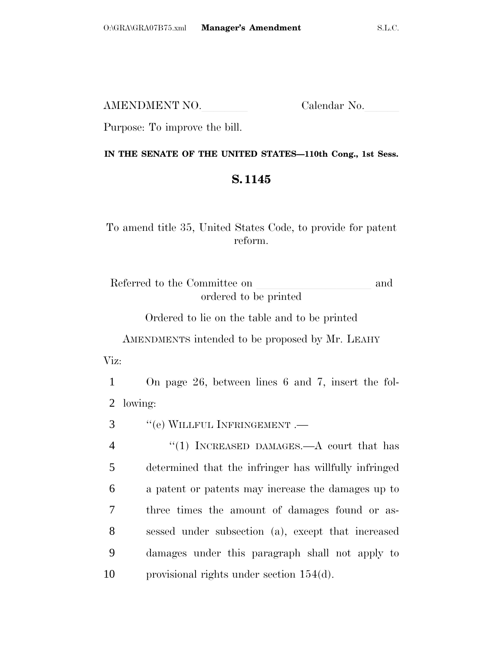AMENDMENT NO. Calendar No.

Purpose: To improve the bill.

## **IN THE SENATE OF THE UNITED STATES—110th Cong., 1st Sess.**

## **S. 1145**

To amend title 35, United States Code, to provide for patent reform.

Referred to the Committee on and ordered to be printed

Ordered to lie on the table and to be printed

AMENDMENTS intended to be proposed by Mr. LEAHY

Viz:

1 On page 26, between lines 6 and 7, insert the fol-2 lowing:

3 ''(e) WILLFUL INFRINGEMENT .—

4 "(1) INCREASED DAMAGES.—A court that has determined that the infringer has willfully infringed a patent or patents may increase the damages up to three times the amount of damages found or as- sessed under subsection (a), except that increased damages under this paragraph shall not apply to provisional rights under section 154(d).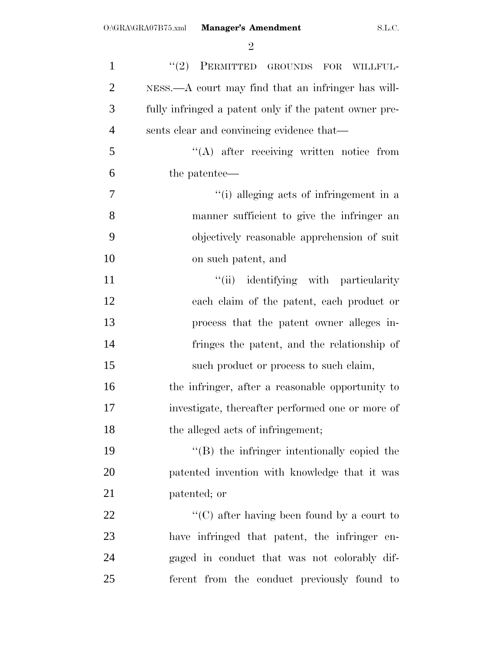| $\mathbf{1}$   | $(2)$ PERMITTED GROUNDS FOR<br>WILLFUL-                |
|----------------|--------------------------------------------------------|
| $\overline{2}$ | NESS.—A court may find that an infringer has will-     |
| 3              | fully infringed a patent only if the patent owner pre- |
| $\overline{4}$ | sents clear and convincing evidence that—              |
| 5              | $\lq\lq$ after receiving written notice from           |
| 6              | the patentee—                                          |
| 7              | "(i) alleging acts of infringement in a                |
| 8              | manner sufficient to give the infringer an             |
| 9              | objectively reasonable apprehension of suit            |
| 10             | on such patent, and                                    |
| 11             | "(ii) identifying with particularity                   |
| 12             | each claim of the patent, each product or              |
| 13             | process that the patent owner alleges in-              |
| 14             | fringes the patent, and the relationship of            |
| 15             | such product or process to such claim,                 |
| 16             | the infringer, after a reasonable opportunity to       |
| 17             | investigate, thereafter performed one or more of       |
| 18             | the alleged acts of infringement;                      |
| 19             | $\lq\lq$ the infringer intentionally copied the        |
| 20             | patented invention with knowledge that it was          |
| 21             | patented; or                                           |
| 22             | "(C) after having been found by a court to             |
| 23             | have infringed that patent, the infringer<br>en-       |
| 24             | gaged in conduct that was not colorably dif-           |
| 25             | ferent from the conduct previously found to            |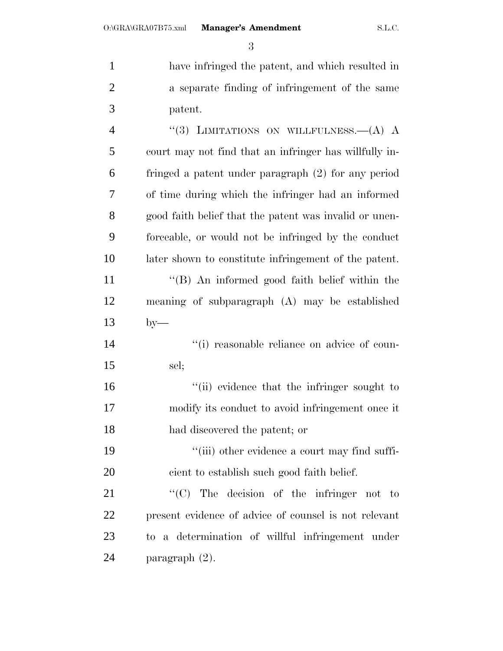have infringed the patent, and which resulted in a separate finding of infringement of the same patent. 4 "(3) LIMITATIONS ON WILLFULNESS. - (A) A

 court may not find that an infringer has willfully in- fringed a patent under paragraph (2) for any period of time during which the infringer had an informed good faith belief that the patent was invalid or unen- forceable, or would not be infringed by the conduct later shown to constitute infringement of the patent. ''(B) An informed good faith belief within the meaning of subparagraph (A) may be established by—  $\qquad$  (i) reasonable reliance on advice of coun- sel;  $\frac{1}{10}$  evidence that the infringer sought to modify its conduct to avoid infringement once it had discovered the patent; or 19 ''(iii) other evidence a court may find suffi- cient to establish such good faith belief. 21 "'(C) The decision of the infringer not to

 present evidence of advice of counsel is not relevant to a determination of willful infringement under paragraph (2).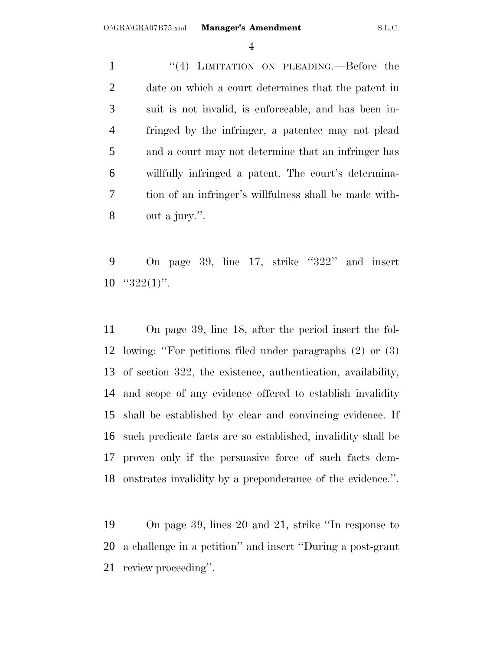1 "(4) LIMITATION ON PLEADING.—Before the date on which a court determines that the patent in suit is not invalid, is enforceable, and has been in- fringed by the infringer, a patentee may not plead and a court may not determine that an infringer has willfully infringed a patent. The court's determina- tion of an infringer's willfulness shall be made with-out a jury.''.

 On page 39, line 17, strike ''322'' and insert " $322(1)$ ".

 On page 39, line 18, after the period insert the fol- lowing: ''For petitions filed under paragraphs (2) or (3) of section 322, the existence, authentication, availability, and scope of any evidence offered to establish invalidity shall be established by clear and convincing evidence. If such predicate facts are so established, invalidity shall be proven only if the persuasive force of such facts dem-onstrates invalidity by a preponderance of the evidence.''.

 On page 39, lines 20 and 21, strike ''In response to a challenge in a petition'' and insert ''During a post-grant review proceeding''.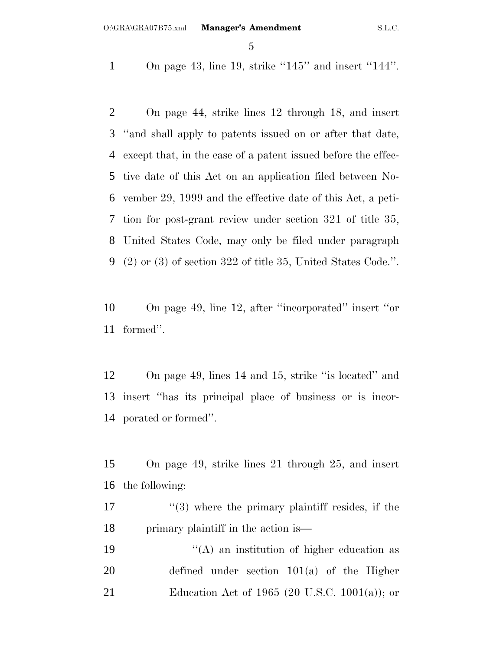On page 43, line 19, strike ''145'' and insert ''144''.

 On page 44, strike lines 12 through 18, and insert ''and shall apply to patents issued on or after that date, except that, in the case of a patent issued before the effec- tive date of this Act on an application filed between No- vember 29, 1999 and the effective date of this Act, a peti- tion for post-grant review under section 321 of title 35, United States Code, may only be filed under paragraph (2) or (3) of section 322 of title 35, United States Code.''.

 On page 49, line 12, after ''incorporated'' insert ''or formed''.

 On page 49, lines 14 and 15, strike ''is located'' and insert ''has its principal place of business or is incor-porated or formed''.

 On page 49, strike lines 21 through 25, and insert the following:

 $\frac{17}{2}$  ''(3) where the primary plaintiff resides, if the 18 primary plaintiff in the action is—

19  $((A)$  an institution of higher education as defined under section 101(a) of the Higher Education Act of 1965 (20 U.S.C. 1001(a)); or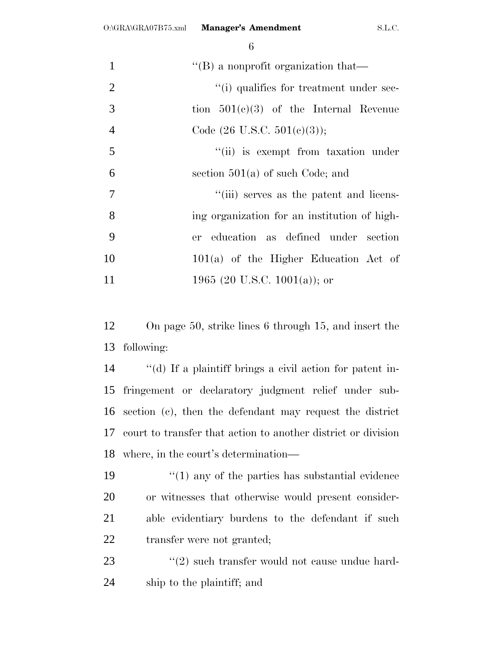| 1              | $\lq\lq (B)$ a nonprofit organization that—  |
|----------------|----------------------------------------------|
| 2              | "(i) qualifies for treatment under sec-      |
| 3              | tion $501(c)(3)$ of the Internal Revenue     |
| $\overline{4}$ | Code $(26 \text{ U.S.C. } 501(e)(3));$       |
| 5              | "(ii) is exempt from taxation under          |
| 6              | section $501(a)$ of such Code; and           |
| $\overline{7}$ | "(iii) serves as the patent and licens-      |
| 8              | ing organization for an institution of high- |
| 9              | er education as defined under section        |
| 10             | $101(a)$ of the Higher Education Act of      |
| 11             | 1965 (20 U.S.C. 1001(a)); or                 |

 On page 50, strike lines 6 through 15, and insert the following:

 ''(d) If a plaintiff brings a civil action for patent in- fringement or declaratory judgment relief under sub- section (c), then the defendant may request the district court to transfer that action to another district or division where, in the court's determination—

 $\frac{1}{2}$  (1) any of the parties has substantial evidence or witnesses that otherwise would present consider- able evidentiary burdens to the defendant if such transfer were not granted;

23 ''(2) such transfer would not cause undue hard-ship to the plaintiff; and